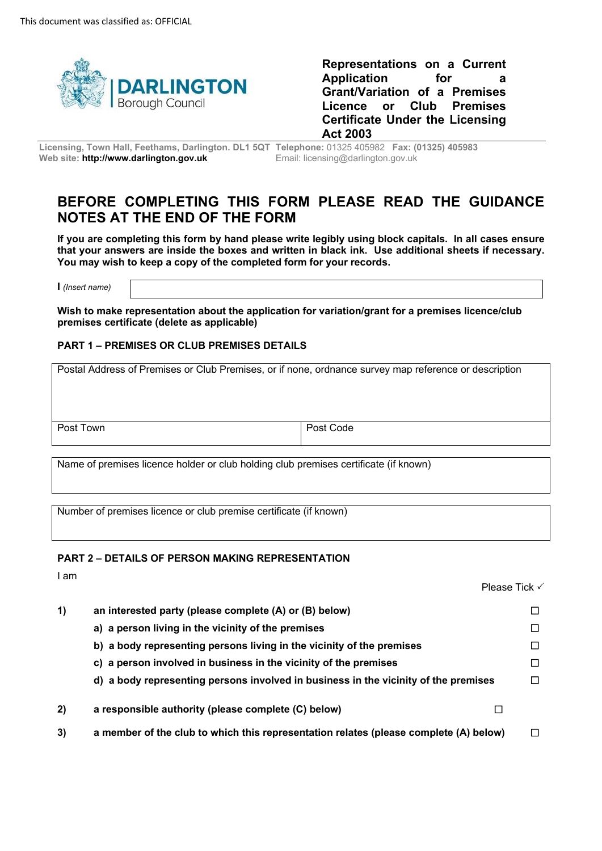

**Representations on a Current Application for a Grant/Variation of a Premises Licence or Club Premises Certificate Under the Licensing Act 2003** 

 **Licensing, Town Hall, Feethams, Darlington. DL1 5QT Telephone:** 01325 405982 **Fax: (01325) 405983 Web site: http://www.darlington.gov.uk** Email: licensing@darlington.gov.uk

# **BEFORE COMPLETING THIS FORM PLEASE READ THE GUIDANCE NOTES AT THE END OF THE FORM**

 **If you are completing this form by hand please write legibly using block capitals. In all cases ensure that your answers are inside the boxes and written in black ink. Use additional sheets if necessary. You may wish to keep a copy of the completed form for your records.** 

**I** *(Insert name)* 

 **Wish to make representation about the application for variation/grant for a premises licence/club premises certificate (delete as applicable)** 

#### **PART 1 – PREMISES OR CLUB PREMISES DETAILS**

 Postal Address of Premises or Club Premises, or if none, ordnance survey map reference or description Post Town Post Code

Name of premises licence holder or club holding club premises certificate (if known)

Number of premises licence or club premise certificate (if known)

#### **PART 2 – DETAILS OF PERSON MAKING REPRESENTATION**

I am

|    | Please Tick √                                                                         |   |
|----|---------------------------------------------------------------------------------------|---|
| 1) | an interested party (please complete (A) or (B) below)                                | □ |
|    | a) a person living in the vicinity of the premises                                    | □ |
|    | b) a body representing persons living in the vicinity of the premises                 | п |
|    | c) a person involved in business in the vicinity of the premises                      | □ |
|    | d) a body representing persons involved in business in the vicinity of the premises   | п |
| 2) | a responsible authority (please complete (C) below)                                   |   |
| 3) | a member of the club to which this representation relates (please complete (A) below) | П |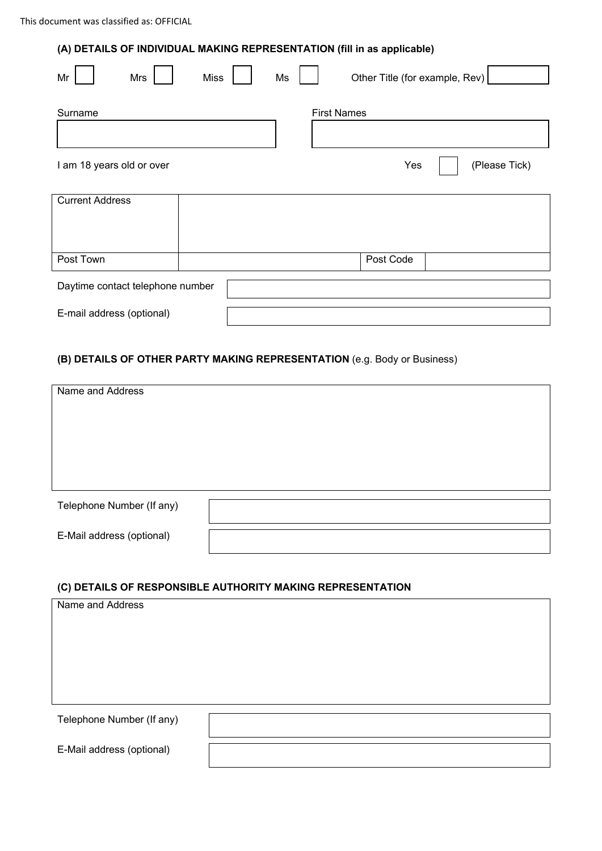## **(A) DETAILS OF INDIVIDUAL MAKING REPRESENTATION (fill in as applicable)**

| Mr                               | Mrs | <b>Miss</b> | Ms |                    | Other Title (for example, Rev) |  |  |
|----------------------------------|-----|-------------|----|--------------------|--------------------------------|--|--|
| Surname                          |     |             |    | <b>First Names</b> |                                |  |  |
| I am 18 years old or over        |     |             |    | Yes                | (Please Tick)                  |  |  |
| <b>Current Address</b>           |     |             |    |                    |                                |  |  |
| Post Town                        |     |             |    | Post Code          |                                |  |  |
| Daytime contact telephone number |     |             |    |                    |                                |  |  |
| E-mail address (optional)        |     |             |    |                    |                                |  |  |

### **(B) DETAILS OF OTHER PARTY MAKING REPRESENTATION** (e.g. Body or Business)

| Name and Address          |  |  |  |  |  |
|---------------------------|--|--|--|--|--|
|                           |  |  |  |  |  |
|                           |  |  |  |  |  |
|                           |  |  |  |  |  |
|                           |  |  |  |  |  |
| Telephone Number (If any) |  |  |  |  |  |
| E-Mail address (optional) |  |  |  |  |  |

## **(C) DETAILS OF RESPONSIBLE AUTHORITY MAKING REPRESENTATION**

| Name and Address          |  |  |  |  |  |
|---------------------------|--|--|--|--|--|
|                           |  |  |  |  |  |
|                           |  |  |  |  |  |
|                           |  |  |  |  |  |
|                           |  |  |  |  |  |
|                           |  |  |  |  |  |
| Telephone Number (If any) |  |  |  |  |  |
|                           |  |  |  |  |  |
| E-Mail address (optional) |  |  |  |  |  |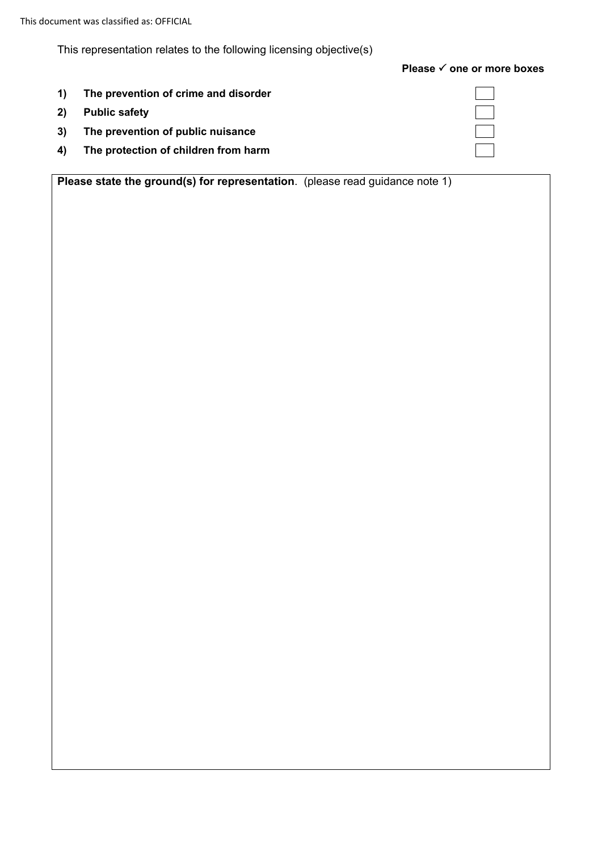This document was classified as: OFFICIAL

This representation relates to the following licensing objective(s)

## **Please √ one or more boxes**

- **1) The prevention of crime and disorder**
- **2) Public safety**
- **3) The prevention of public nuisance**
- **4) The protection of children from harm**

**Please state the ground(s) for representation**. (please read guidance note 1)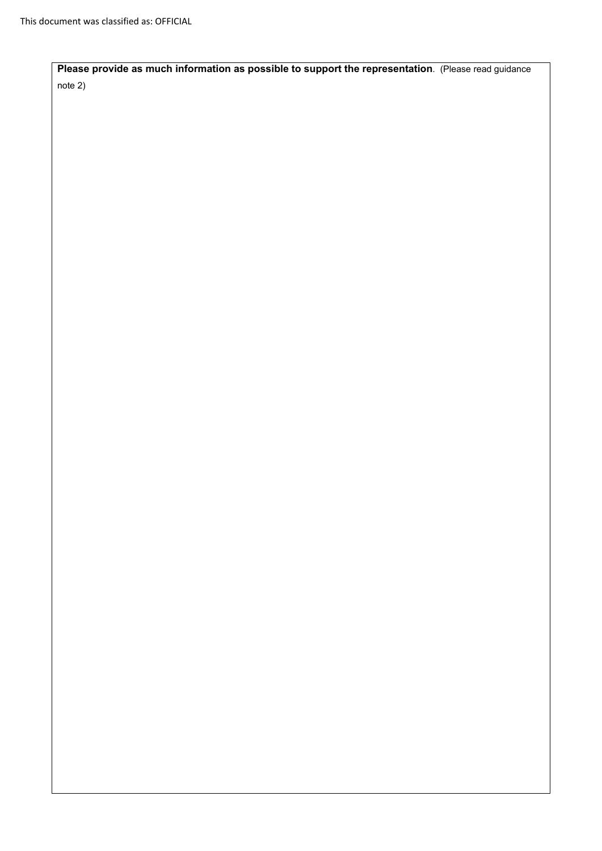**Please provide as much information as possible to support the representation**. (Please read guidance note 2)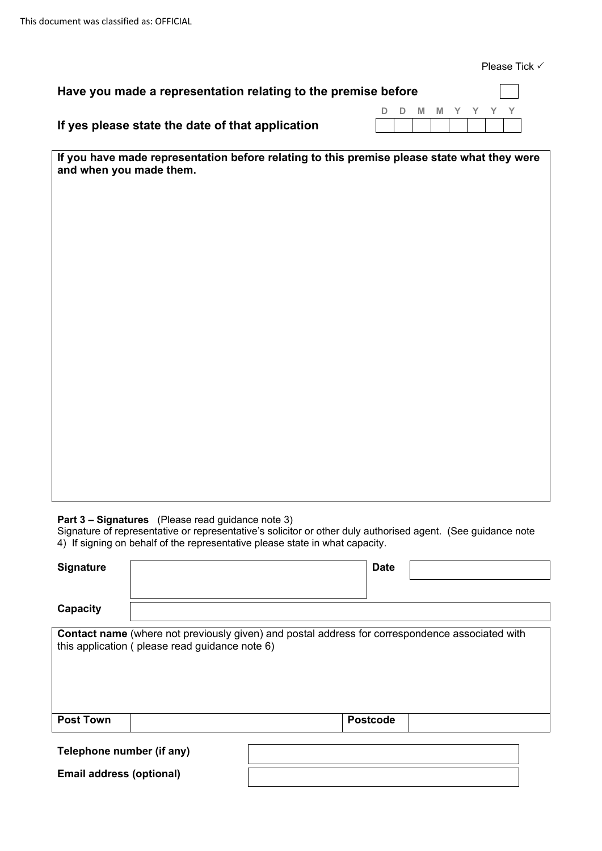Please Tick √

| Have you made a representation relating to the premise before |  |  |  |                 |  | $\mathbb{R}^n$ |                   |
|---------------------------------------------------------------|--|--|--|-----------------|--|----------------|-------------------|
|                                                               |  |  |  | D D M M Y Y Y Y |  |                |                   |
| If yes please state the date of that application              |  |  |  |                 |  |                | 1 1 1 1 1 1 1 1 1 |
|                                                               |  |  |  |                 |  |                |                   |

**If you have made representation before relating to this premise please state what they were and when you made them.** 

**Part 3 – Signatures** (Please read guidance note 3)

**Email address (optional)** 

 4) If signing on behalf of the representative please state in what capacity. Signature of representative or representative's solicitor or other duly authorised agent. (See guidance note

| <b>Signature</b>                                                                                                                                  |  | <b>Date</b>     |  |  |  |  |  |  |
|---------------------------------------------------------------------------------------------------------------------------------------------------|--|-----------------|--|--|--|--|--|--|
|                                                                                                                                                   |  |                 |  |  |  |  |  |  |
| Capacity                                                                                                                                          |  |                 |  |  |  |  |  |  |
| Contact name (where not previously given) and postal address for correspondence associated with<br>this application (please read guidance note 6) |  |                 |  |  |  |  |  |  |
| <b>Post Town</b>                                                                                                                                  |  | <b>Postcode</b> |  |  |  |  |  |  |
| Telephone number (if any)                                                                                                                         |  |                 |  |  |  |  |  |  |